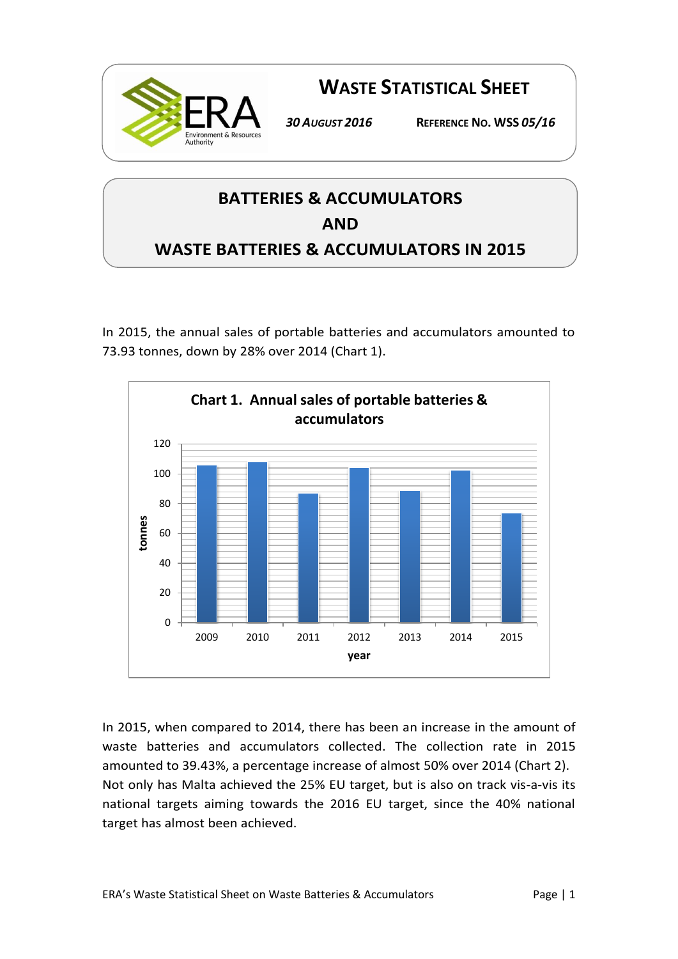

**WASTE STATISTICAL SHEET**

*30 AUGUST 2016* **REFERENCE NO. WSS** *05/16*

## **BATTERIES & ACCUMULATORS AND WASTE BATTERIES & ACCUMULATORS IN 2015**

In 2015, the annual sales of portable batteries and accumulators amounted to 73.93 tonnes, down by 28% over 2014 (Chart 1).



In 2015, when compared to 2014, there has been an increase in the amount of waste batteries and accumulators collected. The collection rate in 2015 amounted to 39.43%, a percentage increase of almost 50% over 2014 (Chart 2). Not only has Malta achieved the 25% EU target, but is also on track vis-a-vis its national targets aiming towards the 2016 EU target, since the 40% national target has almost been achieved.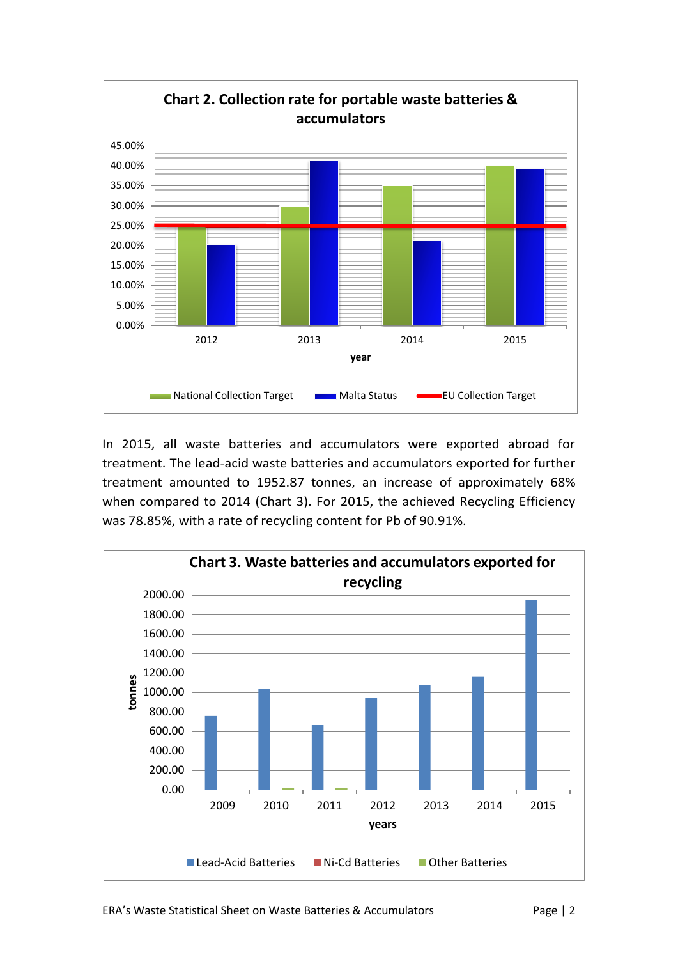

In 2015, all waste batteries and accumulators were exported abroad for treatment. The lead-acid waste batteries and accumulators exported for further treatment amounted to 1952.87 tonnes, an increase of approximately 68% when compared to 2014 (Chart 3). For 2015, the achieved Recycling Efficiency was 78.85%, with a rate of recycling content for Pb of 90.91%.